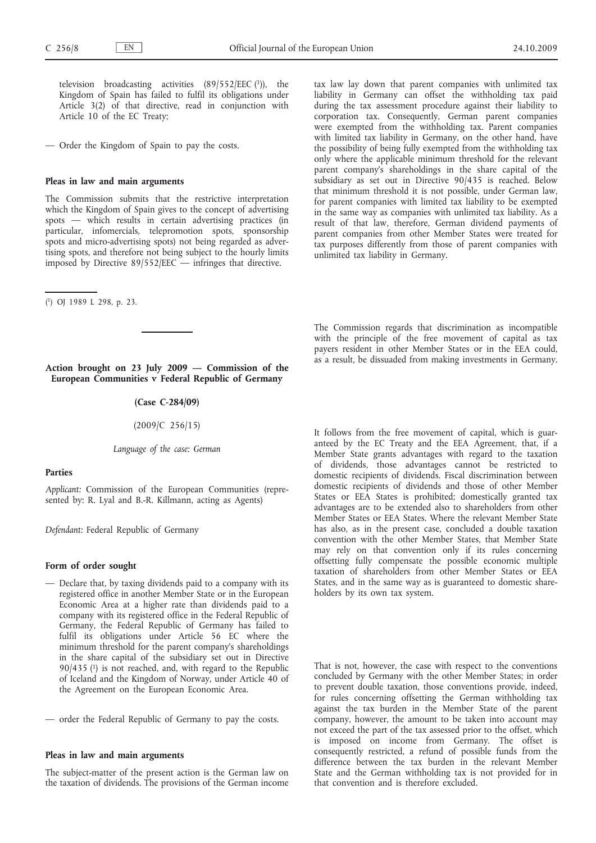television broadcasting activities  $(89/552/EEC)^{1}$ ), the Kingdom of Spain has failed to fulfil its obligations under Article 3(2) of that directive, read in conjunction with Article 10 of the EC Treaty;

— Order the Kingdom of Spain to pay the costs.

#### **Pleas in law and main arguments**

The Commission submits that the restrictive interpretation which the Kingdom of Spain gives to the concept of advertising spots — which results in certain advertising practices (in particular, infomercials, telepromotion spots, sponsorship spots and micro-advertising spots) not being regarded as advertising spots, and therefore not being subject to the hourly limits imposed by Directive 89/552/EEC — infringes that directive.

( 1) OJ 1989 L 298, p. 23.

**Action brought on 23 July 2009 — Commission of the European Communities v Federal Republic of Germany**

# **(Case C-284/09)**

(2009/C 256/15)

*Language of the case: German*

#### **Parties**

*Applicant:* Commission of the European Communities (represented by: R. Lyal and B.-R. Killmann, acting as Agents)

*Defendant:* Federal Republic of Germany

## **Form of order sought**

- Declare that, by taxing dividends paid to a company with its registered office in another Member State or in the European Economic Area at a higher rate than dividends paid to a company with its registered office in the Federal Republic of Germany, the Federal Republic of Germany has failed to fulfil its obligations under Article 56 EC where the minimum threshold for the parent company's shareholdings in the share capital of the subsidiary set out in Directive 90/435 (1) is not reached, and, with regard to the Republic of Iceland and the Kingdom of Norway, under Article 40 of the Agreement on the European Economic Area.
- order the Federal Republic of Germany to pay the costs.

### **Pleas in law and main arguments**

The subject-matter of the present action is the German law on the taxation of dividends. The provisions of the German income tax law lay down that parent companies with unlimited tax liability in Germany can offset the withholding tax paid during the tax assessment procedure against their liability to corporation tax. Consequently, German parent companies were exempted from the withholding tax. Parent companies with limited tax liability in Germany, on the other hand, have the possibility of being fully exempted from the withholding tax only where the applicable minimum threshold for the relevant parent company's shareholdings in the share capital of the subsidiary as set out in Directive 90/435 is reached. Below that minimum threshold it is not possible, under German law, for parent companies with limited tax liability to be exempted in the same way as companies with unlimited tax liability. As a result of that law, therefore, German dividend payments of parent companies from other Member States were treated for tax purposes differently from those of parent companies with unlimited tax liability in Germany.

The Commission regards that discrimination as incompatible with the principle of the free movement of capital as tax payers resident in other Member States or in the EEA could, as a result, be dissuaded from making investments in Germany.

It follows from the free movement of capital, which is guaranteed by the EC Treaty and the EEA Agreement, that, if a Member State grants advantages with regard to the taxation of dividends, those advantages cannot be restricted to domestic recipients of dividends. Fiscal discrimination between domestic recipients of dividends and those of other Member States or EEA States is prohibited; domestically granted tax advantages are to be extended also to shareholders from other Member States or EEA States. Where the relevant Member State has also, as in the present case, concluded a double taxation convention with the other Member States, that Member State may rely on that convention only if its rules concerning offsetting fully compensate the possible economic multiple taxation of shareholders from other Member States or EEA States, and in the same way as is guaranteed to domestic shareholders by its own tax system.

That is not, however, the case with respect to the conventions concluded by Germany with the other Member States; in order to prevent double taxation, those conventions provide, indeed, for rules concerning offsetting the German withholding tax against the tax burden in the Member State of the parent company, however, the amount to be taken into account may not exceed the part of the tax assessed prior to the offset, which is imposed on income from Germany. The offset is consequently restricted, a refund of possible funds from the difference between the tax burden in the relevant Member State and the German withholding tax is not provided for in that convention and is therefore excluded.